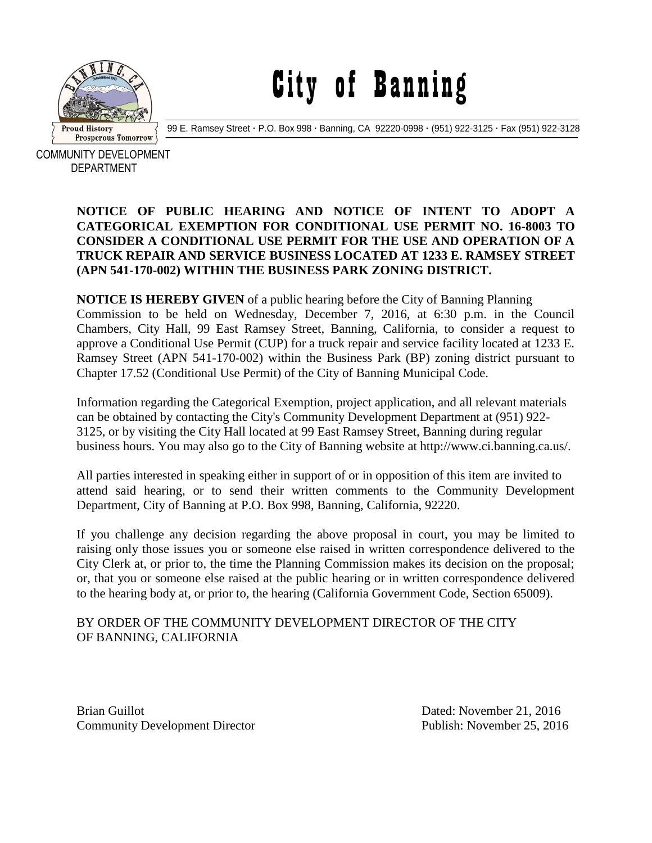

City of Banning

99 E. Ramsey Street **·** P.O. Box 998 **·** Banning, CA 92220-0998 **·** (951) 922-3125 **·** Fax (951) 922-3128

COMMUNITY DEVELOPMENT DEPARTMENT

## **NOTICE OF PUBLIC HEARING AND NOTICE OF INTENT TO ADOPT A CATEGORICAL EXEMPTION FOR CONDITIONAL USE PERMIT NO. 16-8003 TO CONSIDER A CONDITIONAL USE PERMIT FOR THE USE AND OPERATION OF A TRUCK REPAIR AND SERVICE BUSINESS LOCATED AT 1233 E. RAMSEY STREET (APN 541-170-002) WITHIN THE BUSINESS PARK ZONING DISTRICT.**

**NOTICE IS HEREBY GIVEN** of a public hearing before the City of Banning Planning Commission to be held on Wednesday, December 7, 2016, at 6:30 p.m. in the Council Chambers, City Hall, 99 East Ramsey Street, Banning, California, to consider a request to approve a Conditional Use Permit (CUP) for a truck repair and service facility located at 1233 E. Ramsey Street (APN 541-170-002) within the Business Park (BP) zoning district pursuant to Chapter 17.52 (Conditional Use Permit) of the City of Banning Municipal Code.

Information regarding the Categorical Exemption, project application, and all relevant materials can be obtained by contacting the City's Community Development Department at (951) 922- 3125, or by visiting the City Hall located at 99 East Ramsey Street, Banning during regular business hours. You may also go to the City of Banning website at http://www.ci.banning.ca.us/.

All parties interested in speaking either in support of or in opposition of this item are invited to attend said hearing, or to send their written comments to the Community Development Department, City of Banning at P.O. Box 998, Banning, California, 92220.

If you challenge any decision regarding the above proposal in court, you may be limited to raising only those issues you or someone else raised in written correspondence delivered to the City Clerk at, or prior to, the time the Planning Commission makes its decision on the proposal; or, that you or someone else raised at the public hearing or in written correspondence delivered to the hearing body at, or prior to, the hearing (California Government Code, Section 65009).

## BY ORDER OF THE COMMUNITY DEVELOPMENT DIRECTOR OF THE CITY OF BANNING, CALIFORNIA

Brian Guillot **Dated:** November 21, 2016 Community Development Director Publish: November 25, 2016